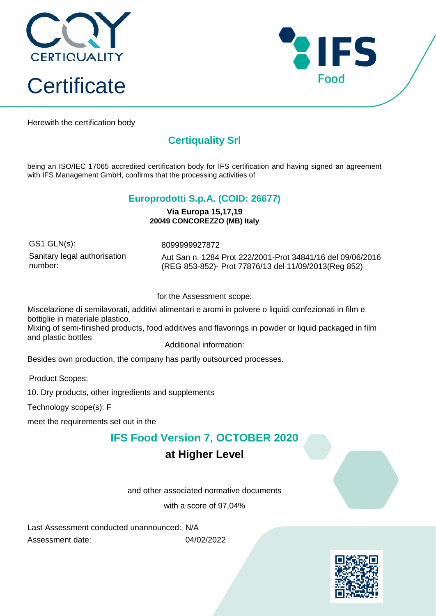



Herewith the certification body

## **Certiquality Srl**

being an ISO/IEC 17065 accredited certification body for IFS certification and having signed an agreement with IFS Management GmbH, confirms that the processing activities of

#### **Europrodotti S.p.A. (COID: 26677)**

**Via Europa 15,17,19 20049 CONCOREZZO (MB) Italy**

GS1 GLN(s): 8099999927872 Sanitary legal authorisation number:

Aut San n. 1284 Prot 222/2001-Prot 34841/16 del 09/06/2016 (REG 853-852)- Prot 77876/13 del 11/09/2013(Reg 852)

for the Assessment scope:

Miscelazione di semilavorati, additivi alimentari e aromi in polvere o liquidi confezionati in film e bottiglie in materiale plastico.

Mixing of semi-finished products, food additives and flavorings in powder or liquid packaged in film and plastic bottles

Additional information:

Besides own production, the company has partly outsourced processes.

Product Scopes:

10. Dry products, other ingredients and supplements

Technology scope(s): F

meet the requirements set out in the

### **IFS Food Version 7, OCTOBER 2020**

### **at Higher Level**

and other associated normative documents

with a score of 97,04%

Last Assessment conducted unannounced: N/A Assessment date: 04/02/2022